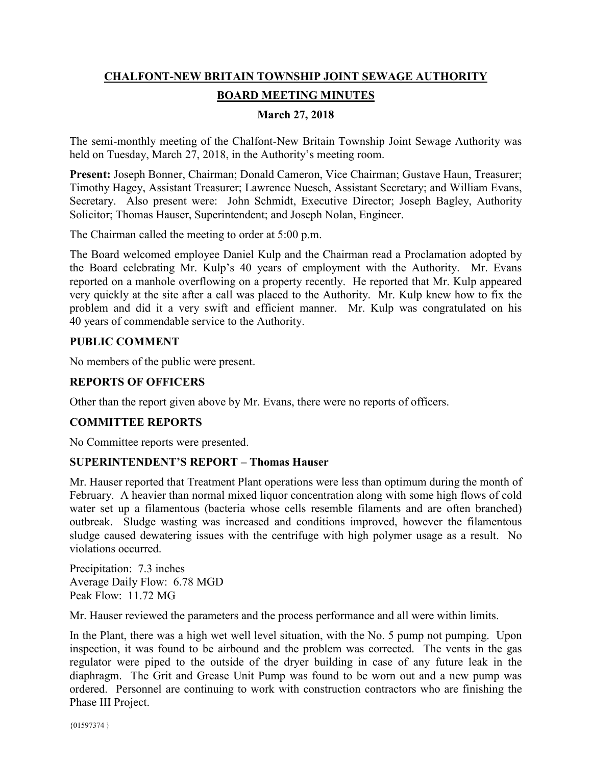# **CHALFONT-NEW BRITAIN TOWNSHIP JOINT SEWAGE AUTHORITY BOARD MEETING MINUTES**

# **March 27, 2018**

The semi-monthly meeting of the Chalfont-New Britain Township Joint Sewage Authority was held on Tuesday, March 27, 2018, in the Authority's meeting room.

**Present:** Joseph Bonner, Chairman; Donald Cameron, Vice Chairman; Gustave Haun, Treasurer; Timothy Hagey, Assistant Treasurer; Lawrence Nuesch, Assistant Secretary; and William Evans, Secretary. Also present were: John Schmidt, Executive Director; Joseph Bagley, Authority Solicitor; Thomas Hauser, Superintendent; and Joseph Nolan, Engineer.

The Chairman called the meeting to order at 5:00 p.m.

The Board welcomed employee Daniel Kulp and the Chairman read a Proclamation adopted by the Board celebrating Mr. Kulp's 40 years of employment with the Authority. Mr. Evans reported on a manhole overflowing on a property recently. He reported that Mr. Kulp appeared very quickly at the site after a call was placed to the Authority. Mr. Kulp knew how to fix the problem and did it a very swift and efficient manner. Mr. Kulp was congratulated on his 40 years of commendable service to the Authority.

## **PUBLIC COMMENT**

No members of the public were present.

#### **REPORTS OF OFFICERS**

Other than the report given above by Mr. Evans, there were no reports of officers.

# **COMMITTEE REPORTS**

No Committee reports were presented.

#### **SUPERINTENDENT'S REPORT – Thomas Hauser**

Mr. Hauser reported that Treatment Plant operations were less than optimum during the month of February. A heavier than normal mixed liquor concentration along with some high flows of cold water set up a filamentous (bacteria whose cells resemble filaments and are often branched) outbreak. Sludge wasting was increased and conditions improved, however the filamentous sludge caused dewatering issues with the centrifuge with high polymer usage as a result. No violations occurred.

Precipitation: 7.3 inches Average Daily Flow: 6.78 MGD Peak Flow: 11.72 MG

Mr. Hauser reviewed the parameters and the process performance and all were within limits.

In the Plant, there was a high wet well level situation, with the No. 5 pump not pumping. Upon inspection, it was found to be airbound and the problem was corrected. The vents in the gas regulator were piped to the outside of the dryer building in case of any future leak in the diaphragm. The Grit and Grease Unit Pump was found to be worn out and a new pump was ordered. Personnel are continuing to work with construction contractors who are finishing the Phase III Project.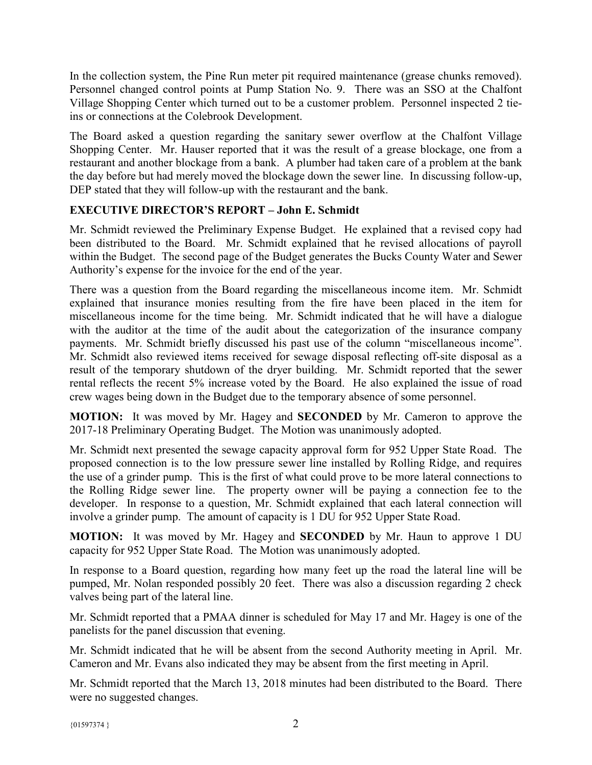In the collection system, the Pine Run meter pit required maintenance (grease chunks removed). Personnel changed control points at Pump Station No. 9. There was an SSO at the Chalfont Village Shopping Center which turned out to be a customer problem. Personnel inspected 2 tieins or connections at the Colebrook Development.

The Board asked a question regarding the sanitary sewer overflow at the Chalfont Village Shopping Center. Mr. Hauser reported that it was the result of a grease blockage, one from a restaurant and another blockage from a bank. A plumber had taken care of a problem at the bank the day before but had merely moved the blockage down the sewer line. In discussing follow-up, DEP stated that they will follow-up with the restaurant and the bank.

# **EXECUTIVE DIRECTOR'S REPORT – John E. Schmidt**

Mr. Schmidt reviewed the Preliminary Expense Budget. He explained that a revised copy had been distributed to the Board. Mr. Schmidt explained that he revised allocations of payroll within the Budget. The second page of the Budget generates the Bucks County Water and Sewer Authority's expense for the invoice for the end of the year.

There was a question from the Board regarding the miscellaneous income item. Mr. Schmidt explained that insurance monies resulting from the fire have been placed in the item for miscellaneous income for the time being. Mr. Schmidt indicated that he will have a dialogue with the auditor at the time of the audit about the categorization of the insurance company payments. Mr. Schmidt briefly discussed his past use of the column "miscellaneous income". Mr. Schmidt also reviewed items received for sewage disposal reflecting off-site disposal as a result of the temporary shutdown of the dryer building. Mr. Schmidt reported that the sewer rental reflects the recent 5% increase voted by the Board. He also explained the issue of road crew wages being down in the Budget due to the temporary absence of some personnel.

**MOTION:** It was moved by Mr. Hagey and **SECONDED** by Mr. Cameron to approve the 2017-18 Preliminary Operating Budget. The Motion was unanimously adopted.

Mr. Schmidt next presented the sewage capacity approval form for 952 Upper State Road. The proposed connection is to the low pressure sewer line installed by Rolling Ridge, and requires the use of a grinder pump. This is the first of what could prove to be more lateral connections to the Rolling Ridge sewer line. The property owner will be paying a connection fee to the developer. In response to a question, Mr. Schmidt explained that each lateral connection will involve a grinder pump. The amount of capacity is 1 DU for 952 Upper State Road.

**MOTION:** It was moved by Mr. Hagey and **SECONDED** by Mr. Haun to approve 1 DU capacity for 952 Upper State Road. The Motion was unanimously adopted.

In response to a Board question, regarding how many feet up the road the lateral line will be pumped, Mr. Nolan responded possibly 20 feet. There was also a discussion regarding 2 check valves being part of the lateral line.

Mr. Schmidt reported that a PMAA dinner is scheduled for May 17 and Mr. Hagey is one of the panelists for the panel discussion that evening.

Mr. Schmidt indicated that he will be absent from the second Authority meeting in April. Mr. Cameron and Mr. Evans also indicated they may be absent from the first meeting in April.

Mr. Schmidt reported that the March 13, 2018 minutes had been distributed to the Board. There were no suggested changes.